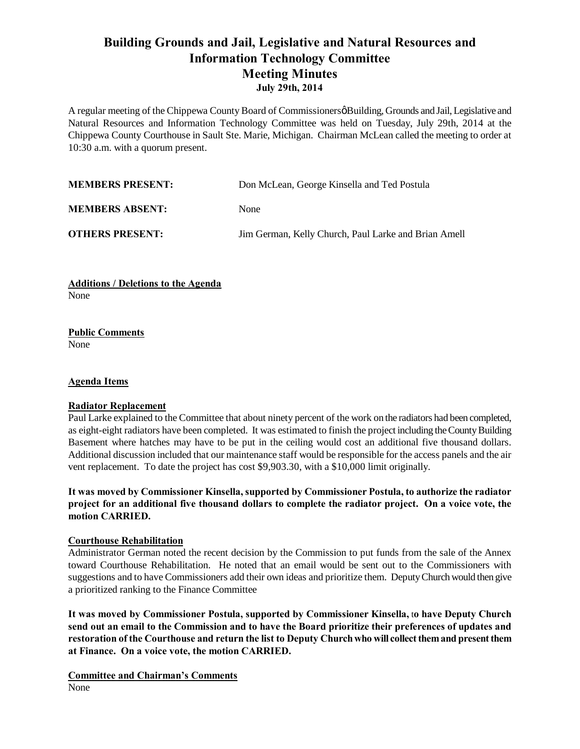# **Building Grounds and Jail, Legislative and Natural Resources and Information Technology Committee Meeting Minutes July 29th, 2014**

A regular meeting of the Chippewa County Board of Commissioners & Building, Grounds and Jail, Legislative and Natural Resources and Information Technology Committee was held on Tuesday, July 29th, 2014 at the Chippewa County Courthouse in Sault Ste. Marie, Michigan. Chairman McLean called the meeting to order at 10:30 a.m. with a quorum present.

| <b>MEMBERS PRESENT:</b> | Don McLean, George Kinsella and Ted Postula          |
|-------------------------|------------------------------------------------------|
| <b>MEMBERS ABSENT:</b>  | None                                                 |
| <b>OTHERS PRESENT:</b>  | Jim German, Kelly Church, Paul Larke and Brian Amell |

**Additions / Deletions to the Agenda** None

**Public Comments** None

### **Agenda Items**

### **Radiator Replacement**

Paul Larke explained to the Committee that about ninety percent of the work on the radiators had been completed, as eight-eight radiators have been completed. It was estimated to finish the project including the County Building Basement where hatches may have to be put in the ceiling would cost an additional five thousand dollars. Additional discussion included that our maintenance staff would be responsible for the access panels and the air vent replacement. To date the project has cost \$9,903.30, with a \$10,000 limit originally.

**It was moved by Commissioner Kinsella, supported by Commissioner Postula, to authorize the radiator project for an additional five thousand dollars to complete the radiator project. On a voice vote, the motion CARRIED.**

### **Courthouse Rehabilitation**

Administrator German noted the recent decision by the Commission to put funds from the sale of the Annex toward Courthouse Rehabilitation. He noted that an email would be sent out to the Commissioners with suggestions and to have Commissioners add their own ideas and prioritize them. Deputy Church would then give a prioritized ranking to the Finance Committee

**It was moved by Commissioner Postula, supported by Commissioner Kinsella,** t**o have Deputy Church send out an email to the Commission and to have the Board prioritize their preferences of updates and restoration of the Courthouse and return the list to Deputy Church who will collect them and present them at Finance. On a voice vote, the motion CARRIED.**

**Committee and Chairman's Comments** None